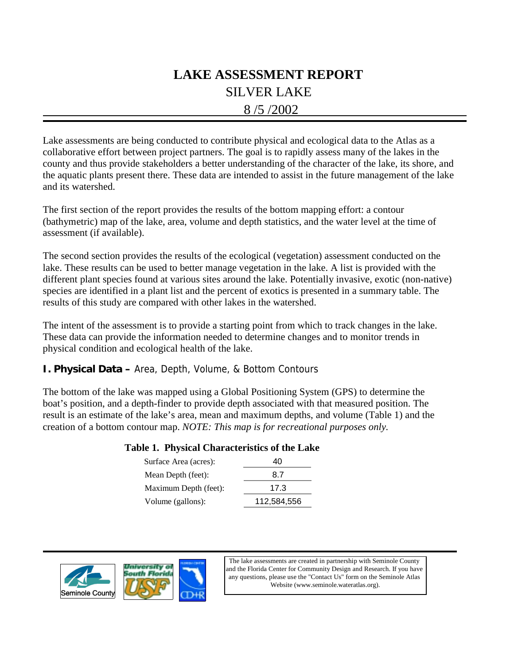# SILVER LAKE 8 /5 /2002 **LAKE ASSESSMENT REPORT**

Lake assessments are being conducted to contribute physical and ecological data to the Atlas as a collaborative effort between project partners. The goal is to rapidly assess many of the lakes in the county and thus provide stakeholders a better understanding of the character of the lake, its shore, and the aquatic plants present there. These data are intended to assist in the future management of the lake and its watershed.

The first section of the report provides the results of the bottom mapping effort: a contour (bathymetric) map of the lake, area, volume and depth statistics, and the water level at the time of assessment (if available).

The second section provides the results of the ecological (vegetation) assessment conducted on the lake. These results can be used to better manage vegetation in the lake. A list is provided with the different plant species found at various sites around the lake. Potentially invasive, exotic (non-native) species are identified in a plant list and the percent of exotics is presented in a summary table. The results of this study are compared with other lakes in the watershed.

The intent of the assessment is to provide a starting point from which to track changes in the lake. These data can provide the information needed to determine changes and to monitor trends in physical condition and ecological health of the lake.

### **I. Physical Data –** Area, Depth, Volume, & Bottom Contours

The bottom of the lake was mapped using a Global Positioning System (GPS) to determine the boat's position, and a depth-finder to provide depth associated with that measured position. The result is an estimate of the lake's area, mean and maximum depths, and volume (Table 1) and the creation of a bottom contour map. *NOTE: This map is for recreational purposes only.*

### **Table 1. Physical Characteristics of the Lake**

| Surface Area (acres): | 40          |
|-----------------------|-------------|
| Mean Depth (feet):    | 8.7         |
| Maximum Depth (feet): | 17.3        |
| Volume (gallons):     | 112,584,556 |





The lake assessments are created in partnership with Seminole County and the Florida Center for Community Design and Research. If you have any questions, please use the "Contact Us" form on the Seminole Atlas Website (www.seminole.wateratlas.org).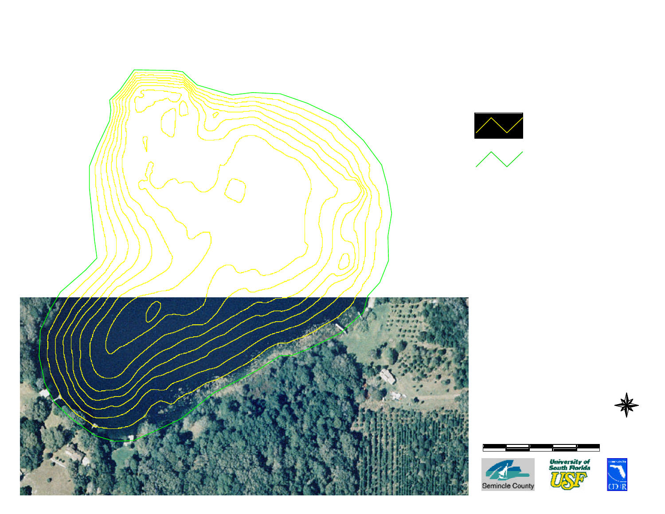



# **Siver Lake**

Section - Township - Range  $7 - 20 - 31$ 



**Contour Lines** Expressed in 2-Foot Intervals

**Estimated Lake** Perimeter

## EXPLANATION:

Assessment Date: August 5, 2002. Lake water level was 40.42 feet above sea level when the lake was assessed. Contours are expressed in absolute depth below this level and may not exclude the presence of submersed aquatic vegetation.

## **DATA SOURCES**

Seminole County 1999 color aerials provided by Seminole County Public Works. All contours generated by Florida Center for Community Design and Research based on GPS/Sonar data provided by the Seminole County Stormwater Division.









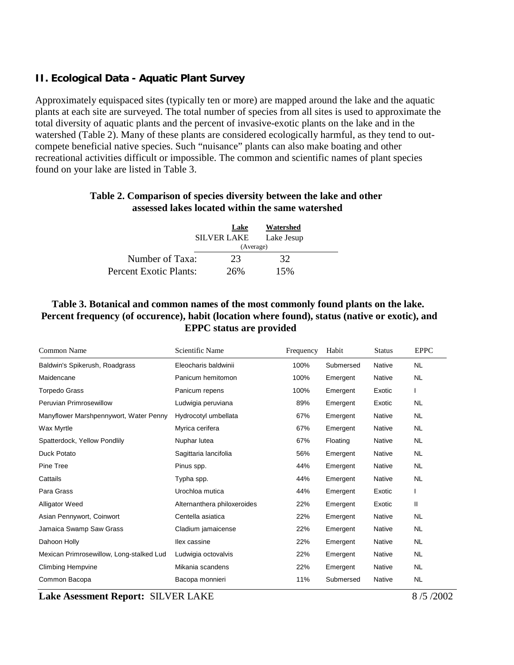## **II. Ecological Data - Aquatic Plant Survey**

Approximately equispaced sites (typically ten or more) are mapped around the lake and the aquatic plants at each site are surveyed. The total number of species from all sites is used to approximate the total diversity of aquatic plants and the percent of invasive-exotic plants on the lake and in the watershed (Table 2). Many of these plants are considered ecologically harmful, as they tend to outcompete beneficial native species. Such "nuisance" plants can also make boating and other recreational activities difficult or impossible. The common and scientific names of plant species found on your lake are listed in Table 3.

## **Table 2. Comparison of species diversity between the lake and other assessed lakes located within the same watershed**

|                        | Lake<br><b>SILVER LAKE</b> | Watershed<br>Lake Jesup |  |  |
|------------------------|----------------------------|-------------------------|--|--|
|                        | (Average)                  |                         |  |  |
| Number of Taxa:        | 23                         | 32                      |  |  |
| Percent Exotic Plants: | 26%                        | 15%                     |  |  |

## **Table 3. Botanical and common names of the most commonly found plants on the lake. Percent frequency (of occurence), habit (location where found), status (native or exotic), and EPPC status are provided**

| Common Name                              | Scientific Name             | Frequency | Habit     | <b>Status</b> | <b>EPPC</b>  |
|------------------------------------------|-----------------------------|-----------|-----------|---------------|--------------|
| Baldwin's Spikerush, Roadgrass           | Eleocharis baldwinii        | 100%      | Submersed | <b>Native</b> | <b>NL</b>    |
| Maidencane                               | Panicum hemitomon           | 100%      | Emergent  | Native        | <b>NL</b>    |
| <b>Torpedo Grass</b>                     | Panicum repens              | 100%      | Emergent  | Exotic        | L            |
| Peruvian Primrosewillow                  | Ludwigia peruviana          | 89%       | Emergent  | Exotic        | <b>NL</b>    |
| Manyflower Marshpennywort, Water Penny   | Hydrocotyl umbellata        | 67%       | Emergent  | Native        | <b>NL</b>    |
| Wax Myrtle                               | Myrica cerifera             | 67%       | Emergent  | Native        | <b>NL</b>    |
| Spatterdock, Yellow Pondlily             | Nuphar lutea                | 67%       | Floating  | Native        | NL           |
| <b>Duck Potato</b>                       | Sagittaria lancifolia       | 56%       | Emergent  | Native        | NL           |
| Pine Tree                                | Pinus spp.                  | 44%       | Emergent  | Native        | <b>NL</b>    |
| Cattails                                 | Typha spp.                  | 44%       | Emergent  | Native        | <b>NL</b>    |
| Para Grass                               | Urochloa mutica             | 44%       | Emergent  | Exotic        |              |
| <b>Alligator Weed</b>                    | Alternanthera philoxeroides | 22%       | Emergent  | Exotic        | $\mathbf{H}$ |
| Asian Pennywort, Coinwort                | Centella asiatica           | 22%       | Emergent  | Native        | <b>NL</b>    |
| Jamaica Swamp Saw Grass                  | Cladium jamaicense          | 22%       | Emergent  | Native        | <b>NL</b>    |
| Dahoon Holly                             | llex cassine                | 22%       | Emergent  | Native        | NL           |
| Mexican Primrosewillow, Long-stalked Lud | Ludwigia octovalvis         | 22%       | Emergent  | Native        | <b>NL</b>    |
| <b>Climbing Hempvine</b>                 | Mikania scandens            | 22%       | Emergent  | Native        | NL           |
| Common Bacopa                            | Bacopa monnieri             | 11%       | Submersed | <b>Native</b> | <b>NL</b>    |

**Lake Asessment Report:** SILVER LAKE 8 /5 /2002